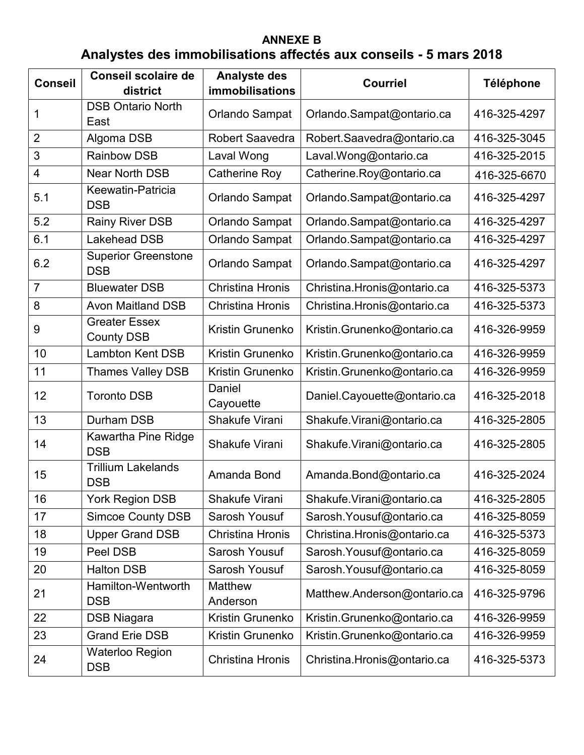## **ANNEXE B Analystes des immobilisations affectés aux conseils - 5 mars 2018**

| <b>Conseil</b> | <b>Conseil scolaire de</b>                | <b>Analyste des</b>     | <b>Courriel</b>             | <b>Téléphone</b> |
|----------------|-------------------------------------------|-------------------------|-----------------------------|------------------|
|                | district                                  | <b>immobilisations</b>  |                             |                  |
| 1              | <b>DSB Ontario North</b><br>East          | <b>Orlando Sampat</b>   | Orlando.Sampat@ontario.ca   | 416-325-4297     |
| $\overline{2}$ | Algoma DSB                                | <b>Robert Saavedra</b>  | Robert.Saavedra@ontario.ca  | 416-325-3045     |
| 3              | <b>Rainbow DSB</b>                        | Laval Wong              | Laval.Wong@ontario.ca       | 416-325-2015     |
| 4              | <b>Near North DSB</b>                     | <b>Catherine Roy</b>    | Catherine.Roy@ontario.ca    | 416-325-6670     |
| 5.1            | Keewatin-Patricia<br><b>DSB</b>           | Orlando Sampat          | Orlando.Sampat@ontario.ca   | 416-325-4297     |
| 5.2            | <b>Rainy River DSB</b>                    | Orlando Sampat          | Orlando.Sampat@ontario.ca   | 416-325-4297     |
| 6.1            | <b>Lakehead DSB</b>                       | <b>Orlando Sampat</b>   | Orlando.Sampat@ontario.ca   | 416-325-4297     |
| 6.2            | <b>Superior Greenstone</b><br><b>DSB</b>  | Orlando Sampat          | Orlando.Sampat@ontario.ca   | 416-325-4297     |
| $\overline{7}$ | <b>Bluewater DSB</b>                      | <b>Christina Hronis</b> | Christina.Hronis@ontario.ca | 416-325-5373     |
| 8              | <b>Avon Maitland DSB</b>                  | <b>Christina Hronis</b> | Christina.Hronis@ontario.ca | 416-325-5373     |
| 9              | <b>Greater Essex</b><br><b>County DSB</b> | Kristin Grunenko        | Kristin.Grunenko@ontario.ca | 416-326-9959     |
| 10             | <b>Lambton Kent DSB</b>                   | Kristin Grunenko        | Kristin.Grunenko@ontario.ca | 416-326-9959     |
| 11             | <b>Thames Valley DSB</b>                  | Kristin Grunenko        | Kristin.Grunenko@ontario.ca | 416-326-9959     |
| 12             | <b>Toronto DSB</b>                        | Daniel<br>Cayouette     | Daniel.Cayouette@ontario.ca | 416-325-2018     |
| 13             | Durham DSB                                | Shakufe Virani          | Shakufe.Virani@ontario.ca   | 416-325-2805     |
| 14             | Kawartha Pine Ridge<br><b>DSB</b>         | Shakufe Virani          | Shakufe.Virani@ontario.ca   | 416-325-2805     |
| 15             | <b>Trillium Lakelands</b><br><b>DSB</b>   | Amanda Bond             | Amanda.Bond@ontario.ca      | 416-325-2024     |
| 16             | <b>York Region DSB</b>                    | Shakufe Virani          | Shakufe.Virani@ontario.ca   | 416-325-2805     |
| 17             | <b>Simcoe County DSB</b>                  | Sarosh Yousuf           | Sarosh. Yousuf@ontario.ca   | 416-325-8059     |
| 18             | <b>Upper Grand DSB</b>                    | <b>Christina Hronis</b> | Christina.Hronis@ontario.ca | 416-325-5373     |
| 19             | Peel DSB                                  | Sarosh Yousuf           | Sarosh. Yousuf@ontario.ca   | 416-325-8059     |
| 20             | <b>Halton DSB</b>                         | Sarosh Yousuf           | Sarosh. Yousuf@ontario.ca   | 416-325-8059     |
| 21             | Hamilton-Wentworth<br><b>DSB</b>          | Matthew<br>Anderson     | Matthew.Anderson@ontario.ca | 416-325-9796     |
| 22             | <b>DSB Niagara</b>                        | Kristin Grunenko        | Kristin.Grunenko@ontario.ca | 416-326-9959     |
| 23             | <b>Grand Erie DSB</b>                     | Kristin Grunenko        | Kristin.Grunenko@ontario.ca | 416-326-9959     |
| 24             | <b>Waterloo Region</b><br><b>DSB</b>      | <b>Christina Hronis</b> | Christina.Hronis@ontario.ca | 416-325-5373     |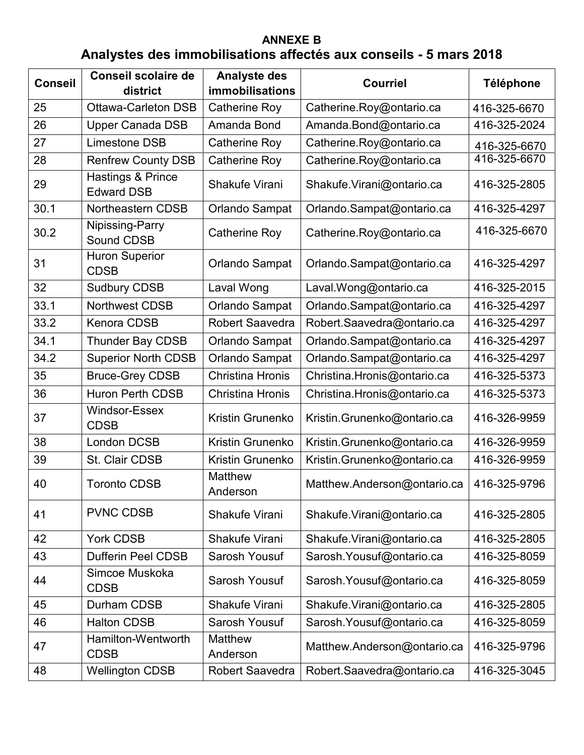## **ANNEXE B Analystes des immobilisations affectés aux conseils - 5 mars 2018**

| <b>Conseil</b> | <b>Conseil scolaire de</b><br>district | <b>Analyste des</b><br><b>immobilisations</b> | <b>Courriel</b>             | <b>Téléphone</b> |
|----------------|----------------------------------------|-----------------------------------------------|-----------------------------|------------------|
| 25             | <b>Ottawa-Carleton DSB</b>             | Catherine Roy                                 | Catherine.Roy@ontario.ca    | 416-325-6670     |
| 26             | <b>Upper Canada DSB</b>                | Amanda Bond                                   | Amanda.Bond@ontario.ca      | 416-325-2024     |
| 27             | Limestone DSB                          | <b>Catherine Roy</b>                          | Catherine.Roy@ontario.ca    | 416-325-6670     |
| 28             | <b>Renfrew County DSB</b>              | Catherine Roy                                 | Catherine.Roy@ontario.ca    | 416-325-6670     |
| 29             | Hastings & Prince<br><b>Edward DSB</b> | Shakufe Virani                                | Shakufe.Virani@ontario.ca   | 416-325-2805     |
| 30.1           | Northeastern CDSB                      | Orlando Sampat                                | Orlando.Sampat@ontario.ca   | 416-325-4297     |
| 30.2           | Nipissing-Parry<br>Sound CDSB          | <b>Catherine Roy</b>                          | Catherine.Roy@ontario.ca    | 416-325-6670     |
| 31             | <b>Huron Superior</b><br><b>CDSB</b>   | Orlando Sampat                                | Orlando.Sampat@ontario.ca   | 416-325-4297     |
| 32             | <b>Sudbury CDSB</b>                    | Laval Wong                                    | Laval.Wong@ontario.ca       | 416-325-2015     |
| 33.1           | <b>Northwest CDSB</b>                  | Orlando Sampat                                | Orlando.Sampat@ontario.ca   | 416-325-4297     |
| 33.2           | <b>Kenora CDSB</b>                     | <b>Robert Saavedra</b>                        | Robert.Saavedra@ontario.ca  | 416-325-4297     |
| 34.1           | <b>Thunder Bay CDSB</b>                | Orlando Sampat                                | Orlando.Sampat@ontario.ca   | 416-325-4297     |
| 34.2           | <b>Superior North CDSB</b>             | Orlando Sampat                                | Orlando.Sampat@ontario.ca   | 416-325-4297     |
| 35             | <b>Bruce-Grey CDSB</b>                 | <b>Christina Hronis</b>                       | Christina.Hronis@ontario.ca | 416-325-5373     |
| 36             | <b>Huron Perth CDSB</b>                | Christina Hronis                              | Christina.Hronis@ontario.ca | 416-325-5373     |
| 37             | <b>Windsor-Essex</b><br><b>CDSB</b>    | <b>Kristin Grunenko</b>                       | Kristin.Grunenko@ontario.ca | 416-326-9959     |
| 38             | <b>London DCSB</b>                     | <b>Kristin Grunenko</b>                       | Kristin.Grunenko@ontario.ca | 416-326-9959     |
| 39             | St. Clair CDSB                         | Kristin Grunenko                              | Kristin.Grunenko@ontario.ca | 416-326-9959     |
| 40             | <b>Toronto CDSB</b>                    | <b>Matthew</b><br>Anderson                    | Matthew.Anderson@ontario.ca | 416-325-9796     |
| 41             | <b>PVNC CDSB</b>                       | Shakufe Virani                                | Shakufe.Virani@ontario.ca   | 416-325-2805     |
| 42             | <b>York CDSB</b>                       | Shakufe Virani                                | Shakufe.Virani@ontario.ca   | 416-325-2805     |
| 43             | <b>Dufferin Peel CDSB</b>              | Sarosh Yousuf                                 | Sarosh. Yousuf@ontario.ca   | 416-325-8059     |
| 44             | Simcoe Muskoka<br><b>CDSB</b>          | Sarosh Yousuf                                 | Sarosh.Yousuf@ontario.ca    | 416-325-8059     |
| 45             | Durham CDSB                            | Shakufe Virani                                | Shakufe.Virani@ontario.ca   | 416-325-2805     |
| 46             | <b>Halton CDSB</b>                     | Sarosh Yousuf                                 | Sarosh. Yousuf@ontario.ca   | 416-325-8059     |
| 47             | Hamilton-Wentworth<br><b>CDSB</b>      | <b>Matthew</b><br>Anderson                    | Matthew.Anderson@ontario.ca | 416-325-9796     |
| 48             | <b>Wellington CDSB</b>                 | Robert Saavedra                               | Robert Saavedra@ontario.ca  | 416-325-3045     |